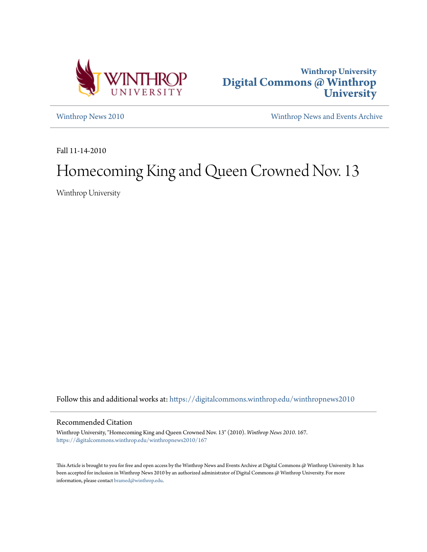



[Winthrop News 2010](https://digitalcommons.winthrop.edu/winthropnews2010?utm_source=digitalcommons.winthrop.edu%2Fwinthropnews2010%2F167&utm_medium=PDF&utm_campaign=PDFCoverPages) [Winthrop News and Events Archive](https://digitalcommons.winthrop.edu/winthropnewsarchives?utm_source=digitalcommons.winthrop.edu%2Fwinthropnews2010%2F167&utm_medium=PDF&utm_campaign=PDFCoverPages)

Fall 11-14-2010

# Homecoming King and Queen Crowned Nov. 13

Winthrop University

Follow this and additional works at: [https://digitalcommons.winthrop.edu/winthropnews2010](https://digitalcommons.winthrop.edu/winthropnews2010?utm_source=digitalcommons.winthrop.edu%2Fwinthropnews2010%2F167&utm_medium=PDF&utm_campaign=PDFCoverPages)

#### Recommended Citation

Winthrop University, "Homecoming King and Queen Crowned Nov. 13" (2010). *Winthrop News 2010*. 167. [https://digitalcommons.winthrop.edu/winthropnews2010/167](https://digitalcommons.winthrop.edu/winthropnews2010/167?utm_source=digitalcommons.winthrop.edu%2Fwinthropnews2010%2F167&utm_medium=PDF&utm_campaign=PDFCoverPages)

This Article is brought to you for free and open access by the Winthrop News and Events Archive at Digital Commons @ Winthrop University. It has been accepted for inclusion in Winthrop News 2010 by an authorized administrator of Digital Commons @ Winthrop University. For more information, please contact [bramed@winthrop.edu](mailto:bramed@winthrop.edu).